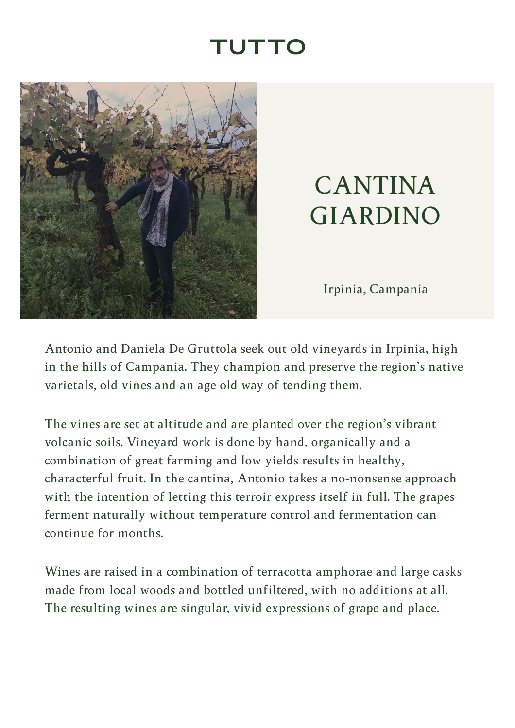## TUTTC

<span id="page-0-0"></span>

## CANTINA GIARDINO

Irpinia, Campania

Antonio and Daniela De Gruttola seek out old vineyards in Irpinia, high in the hills of Campania. They champion and preserve the region's native varietals, old vines and an age old way of tending them.

The vines are set at altitude and are planted over the region's vibrant volcanic soils. Vineyard work is done by hand, organically and a combination of great farming and low yields results in healthy, characterful fruit. In the cantina, Antonio takes a no-nonsense approach with the intention of letting this terroir express itself in full. The grapes ferment naturally without temperature control and fermentation can continue for months.

Wines are raised in a combination of terracotta amphorae and large casks made from local woods and bottled unfiltered, with no additions at all. The resulting wines are singular, vivid expressions of grape and place.